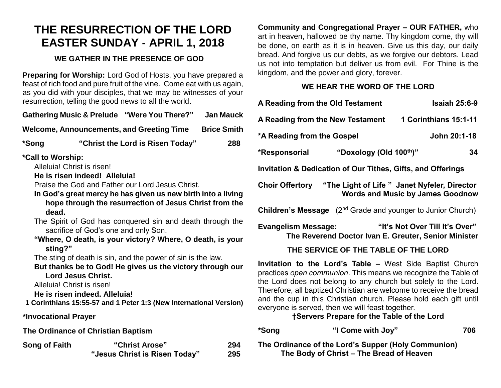# **THE RESURRECTION OF THE LORD EASTER SUNDAY - APRIL 1, 2018**

#### **WE GATHER IN THE PRESENCE OF GOD**

**Preparing for Worship:** Lord God of Hosts, you have prepared a feast of rich food and pure fruit of the vine. Come eat with us again, as you did with your disciples, that we may be witnesses of your resurrection, telling the good news to all the world.

**Gathering Music & Prelude "Were You There?" Jan Mauck**

**Welcome, Announcements, and Greeting Time Brice Smith**

**\*Song "Christ the Lord is Risen Today" 288**

**\*Call to Worship:** 

Alleluia! Christ is risen!

**He is risen indeed! Alleluia!**

Praise the God and Father our Lord Jesus Christ.

**In God's great mercy he has given us new birth into a living hope through the resurrection of Jesus Christ from the dead.**

The Spirit of God has conquered sin and death through the sacrifice of God's one and only Son.

**"Where, O death, is your victory? Where, O death, is your sting?"**

The sting of death is sin, and the power of sin is the law.

**But thanks be to God! He gives us the victory through our Lord Jesus Christ.**

Alleluia! Christ is risen!

**He is risen indeed. Alleluia!** 

**1 Corinthians 15:55-57 and 1 Peter 1:3 (New International Version)**

**\*Invocational Prayer**

**The Ordinance of Christian Baptism** 

| <b>Song of Faith</b> | "Christ Arose"                | 294 |
|----------------------|-------------------------------|-----|
|                      | "Jesus Christ is Risen Today" | 295 |

**Community and Congregational Prayer – OUR FATHER,** who art in heaven, hallowed be thy name. Thy kingdom come, thy will be done, on earth as it is in heaven. Give us this day, our daily bread. And forgive us our debts, as we forgive our debtors. Lead us not into temptation but deliver us from evil. For Thine is the kingdom, and the power and glory, forever.

## **WE HEAR THE WORD OF THE LORD**

| A Reading from the Old Testament<br><b>Isaiah 25:6-9</b>                                                                                                                                                                                                                                                                                                                                                                                   |  |  |  |  |
|--------------------------------------------------------------------------------------------------------------------------------------------------------------------------------------------------------------------------------------------------------------------------------------------------------------------------------------------------------------------------------------------------------------------------------------------|--|--|--|--|
| 1 Corinthians 15:1-11<br>A Reading from the New Testament                                                                                                                                                                                                                                                                                                                                                                                  |  |  |  |  |
| John 20:1-18<br>*A Reading from the Gospel                                                                                                                                                                                                                                                                                                                                                                                                 |  |  |  |  |
| "Doxology (Old 100th)"<br>*Responsorial<br>34                                                                                                                                                                                                                                                                                                                                                                                              |  |  |  |  |
| <b>Invitation &amp; Dedication of Our Tithes, Gifts, and Offerings</b>                                                                                                                                                                                                                                                                                                                                                                     |  |  |  |  |
| Choir Offertory "The Light of Life" Janet Nyfeler, Director<br><b>Words and Music by James Goodnow</b>                                                                                                                                                                                                                                                                                                                                     |  |  |  |  |
| <b>Children's Message</b> (2 <sup>nd</sup> Grade and younger to Junior Church)                                                                                                                                                                                                                                                                                                                                                             |  |  |  |  |
| "It's Not Over Till It's Over"<br><b>Evangelism Message:</b><br>The Reverend Doctor Ivan E. Greuter, Senior Minister                                                                                                                                                                                                                                                                                                                       |  |  |  |  |
| THE SERVICE OF THE TABLE OF THE LORD                                                                                                                                                                                                                                                                                                                                                                                                       |  |  |  |  |
| Invitation to the Lord's Table - West Side Baptist Church<br>practices open communion. This means we recognize the Table of<br>the Lord does not belong to any church but solely to the Lord.<br>Therefore, all baptized Christian are welcome to receive the bread<br>and the cup in this Christian church. Please hold each gift until<br>everyone is served, then we will feast together.<br>†Servers Prepare for the Table of the Lord |  |  |  |  |

| *Song | "I Come with Joy"                                   | 706 |
|-------|-----------------------------------------------------|-----|
|       | The Ordinance of the Lord's Supper (Holy Communion) |     |

**The Ordinance of the Lord's Supper (Holy Communion) The Body of Christ – The Bread of Heaven**